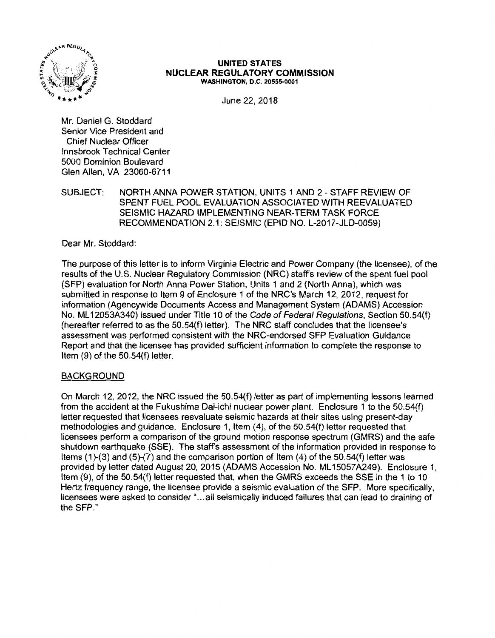

#### **UNITED STATES NUCLEAR REGULATORY COMMISSION WASHINGTON, D.C. 20555-0001**

June 22, 2018

Mr. Daniel G. Stoddard Senior Vice President and Chief Nuclear Officer Innsbrook Technical Center 5000 Dominion Boulevard Glen Allen, VA 23060-6711

SUBJECT: NORTH ANNA POWER STATION, UNITS 1 AND 2- STAFF REVIEW OF SPENT FUEL POOL EVALUATION ASSOCIATED WITH REEVALUATED SEISMIC HAZARD IMPLEMENTING NEAR-TERM TASK FORCE RECOMMENDATION 2.1: SEISMIC (EPID NO. L-2017-JLD-0059)

Dear Mr. Stoddard:

The purpose of this letter is to inform Virginia Electric and Power Company (the licensee), of the results of the U.S. Nuclear Regulatory Commission (NRC) staff's review of the spent fuel pool (SFP) evaluation for North Anna Power Station, Units 1 and 2 (North Anna), which was submitted in response to Item 9 of Enclosure 1 of the NRC's March 12, 2012, request for information (Agencywide Documents Access and Management System (ADAMS) Accession No. ML 12053A340) issued under Title 10 of the Code of Federal Regulations, Section 50.54(f) (hereafter referred to as the 50.54(f) letter). The NRC staff concludes that the licensee's assessment was performed consistent with the NRG-endorsed SFP Evaluation Guidance Report and that the licensee has provided sufficient information to complete the response to Item (9) of the 50.54(f) letter.

## BACKGROUND

On March 12, 2012, the NRC issued the 50.54(f) letter as part of implementing lessons learned from the accident at the Fukushima Dai-ichi nuclear power plant. Enclosure 1 to the 50.54(f) letter requested that licensees reevaluate seismic hazards at their sites using present-day methodologies and guidance. Enclosure 1, Item (4), of the 50.54(f) letter requested that licensees perform a comparison of the ground motion response spectrum (GMRS) and the safe shutdown earthquake (SSE). The staff's assessment of the information provided in response to Items (1 )-(3) and (5)-(7) and the comparison portion of Item (4) of the 50.54(f) letter was provided by letter dated August 20, 2015 (ADAMS Accession No. ML 15057 A249). Enclosure 1, Item (9), of the 50.54(f) letter requested that, when the GMRS exceeds the SSE in the 1 to 10 Hertz frequency range, the licensee provide a seismic evaluation of the SFP. More specifically, licensees were asked to consider " ... all seismically induced failures that can lead to draining of the SFP."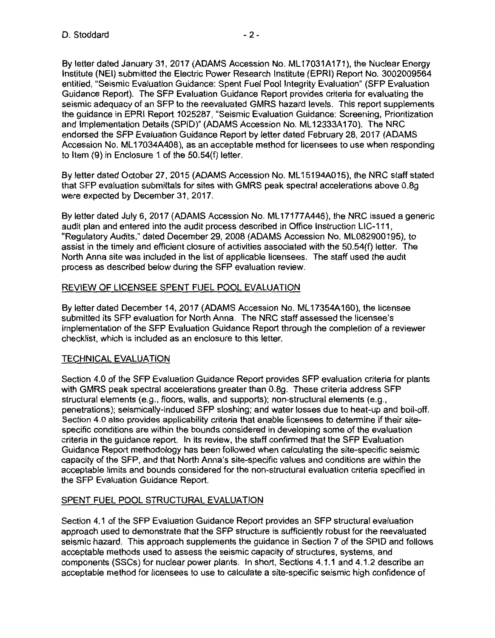By letter dated January 31, 2017 (ADAMS Accession No. ML 17031A171), the Nuclear Energy Institute (NEI) submitted the Electric Power Research Institute (EPRI) Report No. 3002009564 entitled, "Seismic Evaluation Guidance: Spent Fuel Pool Integrity Evaluation" (SFP Evaluation Guidance Report). The SFP Evaluation Guidance Report provides criteria for evaluating the seismic adequacy of an SFP to the reevaluated GMRS hazard levels. This report supplements the guidance in EPRI Report 1025287, "Seismic Evaluation Guidance: Screening, Prioritization and Implementation Details (SPID)" (ADAMS Accession No. ML 12333A 170). The NRC endorsed the SFP Evaluation Guidance Report by letter dated February 28, 2017 (ADAMS Accession No. ML 17034A408), as an acceptable method for licensees to use when responding to Item (9) in Enclosure 1 of the 50.54(f) letter.

By letter dated October 27, 2015 (ADAMS Accession No. ML 15194A015), the NRC staff stated that SFP evaluation submittals for sites with GMRS peak spectral accelerations above 0.8g were expected by December 31, 2017.

By letter dated July 6, 2017 (ADAMS Accession No. ML17177A446), the NRC issued a generic audit plan and entered into the audit process described in Office Instruction LIC-111, "Regulatory Audits," dated December 29, 2008 (ADAMS Accession No. ML082900195), to assist in the timely and efficient closure of activities associated with the 50.54(f) letter. The North Anna site was included in the list of applicable licensees. The staff used the audit process as described below during the SFP evaluation review.

## REVIEW OF LICENSEE SPENT FUEL POOL EVALUATION

By letter dated December 14, 2017 (ADAMS Accession No. ML 17354A160), the licensee submitted its SFP evaluation for North Anna. The NRC staff assessed the licensee's implementation of the SFP Evaluation Guidance Report through the completion of a reviewer checklist, which is included as an enclosure to this letter.

## TECHNICAL EVALUATION

Section 4.0 of the SFP Evaluation Guidance Report provides SFP evaluation criteria for plants with GMRS peak spectral accelerations greater than 0.8g. These criteria address SFP structural elements (e.g., floors, walls, and supports); non-structural elements (e.g., penetrations); seismically-induced SFP sloshing; and water losses due to heat-up and boil-off. Section 4.0 also provides applicability criteria that enable licensees to determine if their sitespecific conditions are within the bounds considered in developing some of the evaluation criteria in the guidance report. In its review, the staff confirmed that the SFP Evaluation Guidance Report methodology has been followed when calculating the site-specific seismic capacity of the SFP, and that North Anna's site-specific values and conditions are within the acceptable limits and bounds considered for the non-structural evaluation criteria specified in the SFP Evaluation Guidance Report.

## SPENT FUEL POOL STRUCTURAL EVALUATION

Section 4.1 of the SFP Evaluation Guidance Report provides an SFP structural evaluation approach used to demonstrate that the SFP structure is sufficiently robust for the reevaluated seismic hazard. This approach supplements the guidance in Section 7 of the SPID and follows acceptable methods used to assess the seismic capacity of structures, systems, and components (SSCs) for nuclear power plants. In short, Sections 4.1.1 and 4.1.2 describe an acceptable method for licensees to use to calculate a site-specific seismic high confidence of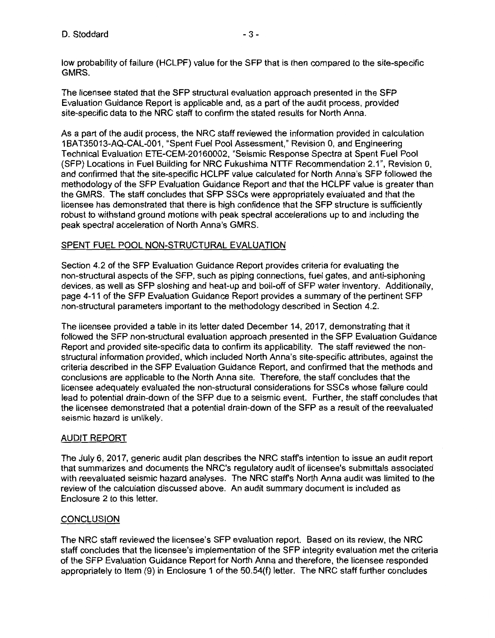low probability of failure (HCLPF) value for the SFP that is then compared to the site-specific **GMRS.** 

The licensee stated that the SFP structural evaluation approach presented in the SFP Evaluation Guidance Report is applicable and, as a part of the audit process, provided site-specific data to the NRC staff to confirm the stated results for North Anna.

As a part of the audit process, the NRC staff reviewed the information provided in calculation 1BAT35013-AQ-CAL-001, "Spent Fuel Pool Assessment," Revision 0, and Engineering Technical Evaluation ETE-CEM-20160002, "Seismic Response Spectra at Spent Fuel Pool (SFP) Locations in Fuel Building for NRC Fukushima NTTF Recommendation 2.1", Revision 0, and confirmed that the site-specific HCLPF value calculated for North Anna's SFP followed the methodology of the SFP Evaluation Guidance Report and that the HCLPF value is greater than the GMRS. The staff concludes that SFP SSCs were appropriately evaluated and that the licensee has demonstrated that there is high confidence that the SFP structure is sufficiently robust to withstand ground motions with peak spectral accelerations up to and including the peak spectral acceleration of North Anna's GMRS.

## SPENT FUEL POOL NON-STRUCTURAL EVALUATION

Section 4.2 of the SFP Evaluation Guidance Report provides criteria for evaluating the non-structural aspects of the SFP, such as piping connections, fuel gates, and anti-siphoning devices, as well as SFP sloshing and heat-up and boil-off of SFP water inventory. Additionally, page 4-11 of the SFP Evaluation Guidance Report provides a summary of the pertinent SFP non-structural parameters important to the methodology described in Section 4.2.

The licensee provided a table in its letter dated December 14, 2017, demonstrating that it followed the SFP non-structural evaluation approach presented in the SFP Evaluation Guidance Report and provided site-specific data to confirm its applicability. The staff reviewed the nonstructural information provided, which included North Anna's site-specific attributes, against the criteria described in the SFP Evaluation Guidance Report, and confirmed that the methods and conclusions are applicable to the North Anna site. Therefore, the staff concludes that the licensee adequately evaluated the non-structural considerations for SSCs whose failure could lead to potential drain-down of the SFP due to a seismic event. Further, the staff concludes that the licensee demonstrated that a potential drain-down of the SFP as a result of the reevaluated seismic hazard is unlikely.

## AUDIT REPORT

The July 6, 2017, generic audit plan describes the NRC staffs intention to issue an audit report that summarizes and documents the NRC's regulatory audit of licensee's submittals associated with reevaluated seismic hazard analyses. The NRC staffs North Anna audit was limited to the review of the calculation discussed above. An audit summary document is included as Enclosure 2 to this letter.

## **CONCLUSION**

The NRC staff reviewed the licensee's SFP evaluation report. Based on its review, the NRC staff concludes that the licensee's implementation of the SFP integrity evaluation met the criteria of the SFP Evaluation Guidance Report for North Anna and therefore, the licensee responded appropriately to Item (9) in Enclosure 1 of the 50.54(f) letter. The NRC staff further concludes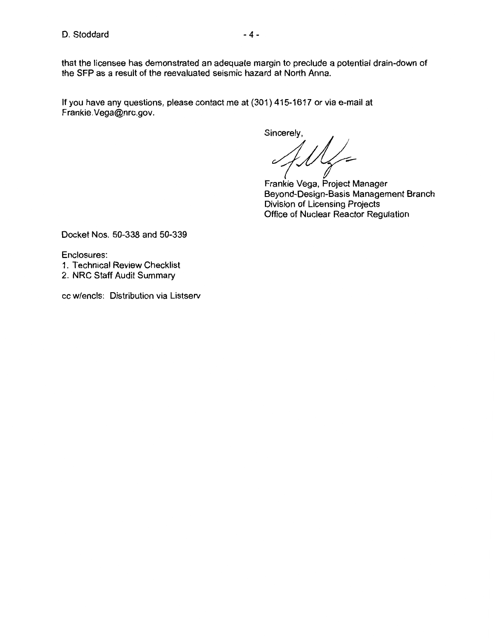If you have any questions, please contact me at (301) 415-1617 or via e-mail at Frankie.Vega@nrc.gov.

Sincerely,<br>Frankie Vega, Project Manager

Beyond-Design-Basis Management Branch Division of Licensing Projects Office of Nuclear Reactor Regulation

Docket Nos. 50-338 and 50-339

Enclosures:

- 1. Technical Review Checklist
- 2. NRC Staff Audit Summary

cc w/encls: Distribution via Listserv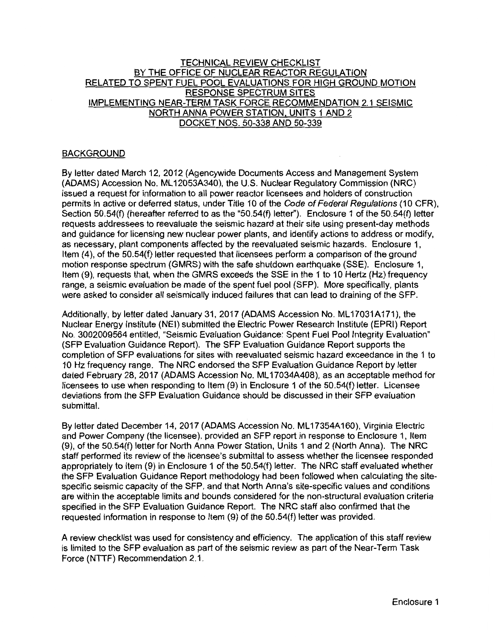### TECHNICAL REVIEW CHECKLIST BY THE OFFICE OF NUCLEAR REACTOR REGULATION RELATED TO SPENT FUEL POOL EVALUATIONS FOR HIGH GROUND MOTION RESPONSE SPECTRUM SITES IMPLEMENTING NEAR-TERM TASK FORCE RECOMMENDATION 2.1 SEISMIC NORTH ANNA POWER STATION, UNITS 1 AND 2 DOCKET NOS. 50-338 AND 50-339

### BACKGROUND

By letter dated March 12, 2012 (Agencywide Documents Access and Management System (ADAMS) Accession No. ML 12053A340), the U.S. Nuclear Regulatory Commission (NRC) issued a request for information to all power reactor licensees and holders of construction permits in active or deferred status, under Title 10 of the Code of Federal Regulations (10 CFR), Section 50.54(f) (hereafter referred to as the "50.54(f) letter"). Enclosure 1 of the 50.54(f) letter requests addressees to reevaluate the seismic hazard at their site using present-day methods and guidance for licensing new nuclear power plants, and identify actions to address or modify, as necessary, plant components affected by the reevaluated seismic hazards. Enclosure 1, Item (4), of the 50.54(f) letter requested that licensees perform a comparison of the ground motion response spectrum (GMRS) with the safe shutdown earthquake (SSE). Enclosure 1, Item (9), requests that, when the GMRS exceeds the SSE in the 1 to 10 Hertz (Hz) frequency range, a seismic evaluation be made of the spent fuel pool (SFP). More specifically, plants were asked to consider all seismically induced failures that can lead to draining of the SFP.

Additionally, by letter dated January 31, 2017 (ADAMS Accession No. ML17031A171), the Nuclear Energy Institute (NEI) submitted the Electric Power Research Institute (EPRI) Report No. 3002009564 entitled, "Seismic Evaluation Guidance: Spent Fuel Pool Integrity Evaluation" (SFP Evaluation Guidance Report). The SFP Evaluation Guidance Report supports the completion of SFP evaluations for sites with reevaluated seismic hazard exceedance in the 1 to 1 O Hz frequency range. The NRC endorsed the SFP Evaluation Guidance Report by letter dated February 28, 2017 (ADAMS Accession No. ML 17034A408), as an acceptable method for licensees to use when responding to Item (9) in Enclosure 1 of the 50.54(f) letter. Licensee deviations from the SFP Evaluation Guidance should be discussed in their SFP evaluation submittal.

By letter dated December 14, 2017 (ADAMS Accession No. ML 17354A160), Virginia Electric and Power Company (the licensee), provided an SFP report in response to Enclosure 1, Item (9), of the 50.54(f) letter for North Anna Power Station, Units 1 and 2 (North Anna). The NRC staff performed its review of the licensee's submittal to assess whether the licensee responded appropriately to Item (9) in Enclosure 1 of the 50.54(f) letter. The NRC staff evaluated whether the SFP Evaluation Guidance Report methodology had been followed when calculating the sitespecific seismic capacity of the SFP, and that North Anna's site-specific values and conditions are within the acceptable limits and bounds considered for the non-structural evaluation criteria specified in the SFP Evaluation Guidance Report. The NRC staff also confirmed that the requested information in response to Item (9) of the 50.54(f) letter was provided.

A review checklist was used for consistency and efficiency. The application of this staff review is limited to the SFP evaluation as part of the seismic review as part of the Near-Term Task Force (NTTF) Recommendation 2.1.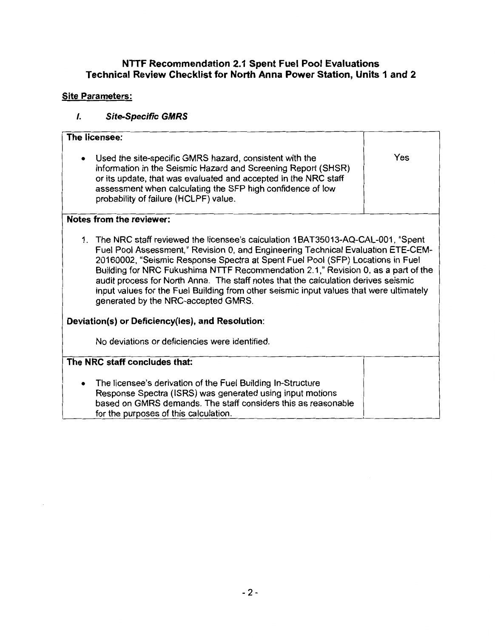## **NTTF Recommendation 2.1 Spent Fuel Pool Evaluations Technical Review Checklist for North Anna Power Station, Units 1 and 2**

# **Site Parameters:**

# /. **Site-Specific GMRS**

| The licensee:                                                                                                                                                                                                                                                                                                                                                                                                                                                                                                                                                        |     |
|----------------------------------------------------------------------------------------------------------------------------------------------------------------------------------------------------------------------------------------------------------------------------------------------------------------------------------------------------------------------------------------------------------------------------------------------------------------------------------------------------------------------------------------------------------------------|-----|
| Used the site-specific GMRS hazard, consistent with the<br>٠<br>information in the Seismic Hazard and Screening Report (SHSR)<br>or its update, that was evaluated and accepted in the NRC staff<br>assessment when calculating the SFP high confidence of low<br>probability of failure (HCLPF) value.                                                                                                                                                                                                                                                              | Yes |
| Notes from the reviewer:                                                                                                                                                                                                                                                                                                                                                                                                                                                                                                                                             |     |
| 1. The NRC staff reviewed the licensee's calculation 1BAT35013-AQ-CAL-001, "Spent<br>Fuel Pool Assessment," Revision 0, and Engineering Technical Evaluation ETE-CEM-<br>20160002, "Seismic Response Spectra at Spent Fuel Pool (SFP) Locations in Fuel<br>Building for NRC Fukushima NTTF Recommendation 2.1," Revision 0, as a part of the<br>audit process for North Anna. The staff notes that the calculation derives seismic<br>input values for the Fuel Building from other seismic input values that were ultimately<br>generated by the NRC-accepted GMRS. |     |
| Deviation(s) or Deficiency(ies), and Resolution:                                                                                                                                                                                                                                                                                                                                                                                                                                                                                                                     |     |
| No deviations or deficiencies were identified.                                                                                                                                                                                                                                                                                                                                                                                                                                                                                                                       |     |
| The NRC staff concludes that:                                                                                                                                                                                                                                                                                                                                                                                                                                                                                                                                        |     |
| The licensee's derivation of the Fuel Building In-Structure<br>Response Spectra (ISRS) was generated using input motions<br>based on GMRS demands. The staff considers this as reasonable<br>for the purposes of this calculation.                                                                                                                                                                                                                                                                                                                                   |     |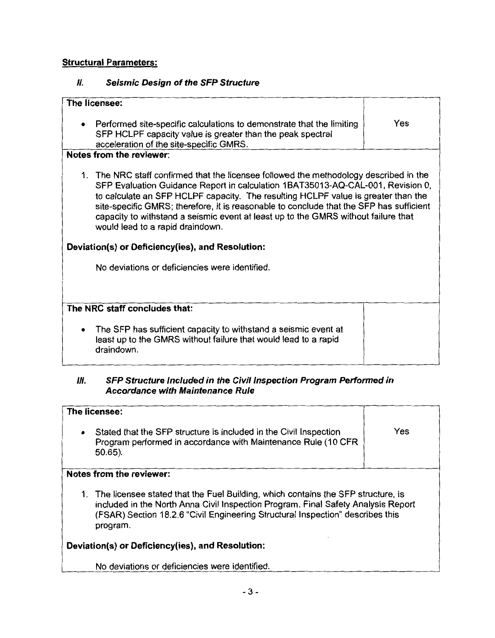## **Structural Parameters:**

## II. **Seismic Design of the SFP Structure**

| The licensee:                                                                                                                                                                                                                                                                                                                                                                                                                                                                                                                           |     |
|-----------------------------------------------------------------------------------------------------------------------------------------------------------------------------------------------------------------------------------------------------------------------------------------------------------------------------------------------------------------------------------------------------------------------------------------------------------------------------------------------------------------------------------------|-----|
| Performed site-specific calculations to demonstrate that the limiting<br>$\bullet$<br>SFP HCLPF capacity value is greater than the peak spectral<br>acceleration of the site-specific GMRS.                                                                                                                                                                                                                                                                                                                                             | Yes |
| Notes from the reviewer:                                                                                                                                                                                                                                                                                                                                                                                                                                                                                                                |     |
| 1. The NRC staff confirmed that the licensee followed the methodology described in the<br>SFP Evaluation Guidance Report in calculation 1BAT35013-AQ-CAL-001, Revision 0,<br>to calculate an SFP HCLPF capacity. The resulting HCLPF value is greater than the<br>site-specific GMRS; therefore, it is reasonable to conclude that the SFP has sufficient<br>capacity to withstand a seismic event at least up to the GMRS without failure that<br>would lead to a rapid draindown.<br>Deviation(s) or Deficiency(ies), and Resolution: |     |
| No deviations or deficiencies were identified.                                                                                                                                                                                                                                                                                                                                                                                                                                                                                          |     |
|                                                                                                                                                                                                                                                                                                                                                                                                                                                                                                                                         |     |
| The NRC staff concludes that:                                                                                                                                                                                                                                                                                                                                                                                                                                                                                                           |     |
| The SFP has sufficient capacity to withstand a seismic event at<br>$\bullet$<br>least up to the GMRS without failure that would lead to a rapid<br>draindown.                                                                                                                                                                                                                                                                                                                                                                           |     |

## Ill. **SFP Structure Included in the Civil Inspection Program Performed in Accordance with Maintenance Rule**

| The licensee:                                                                                                                                                                                                                                                          |     |  |
|------------------------------------------------------------------------------------------------------------------------------------------------------------------------------------------------------------------------------------------------------------------------|-----|--|
| Stated that the SFP structure is included in the Civil Inspection<br>$\bullet$<br>Program performed in accordance with Maintenance Rule (10 CFR<br>$50.65$ ).                                                                                                          | Yes |  |
| Notes from the reviewer:                                                                                                                                                                                                                                               |     |  |
| 1. The licensee stated that the Fuel Building, which contains the SFP structure, is<br>included in the North Anna Civil Inspection Program. Final Safety Analysis Report<br>(FSAR) Section 18.2.6 "Civil Engineering Structural Inspection" describes this<br>program. |     |  |
| Deviation(s) or Deficiency(ies), and Resolution:                                                                                                                                                                                                                       |     |  |
| No deviations or deficiencies were identified.                                                                                                                                                                                                                         |     |  |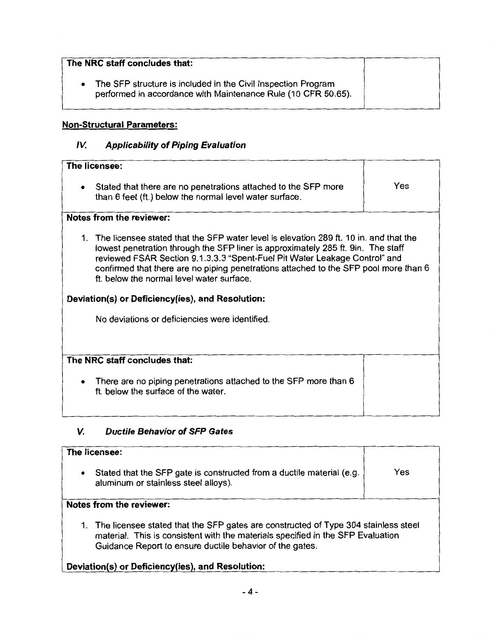| The NRC staff concludes that:                                                                                                  |  |
|--------------------------------------------------------------------------------------------------------------------------------|--|
| The SFP structure is included in the Civil Inspection Program<br>performed in accordance with Maintenance Rule (10 CFR 50.65). |  |

## **Non-Structural Parameters:**

# **IV. Applicability of Piping Evaluation**

| The licensee:                                                                                                                                                                                                                                                                                                                                                                                   |     |
|-------------------------------------------------------------------------------------------------------------------------------------------------------------------------------------------------------------------------------------------------------------------------------------------------------------------------------------------------------------------------------------------------|-----|
| Stated that there are no penetrations attached to the SFP more<br>$\bullet$<br>than 6 feet (ft.) below the normal level water surface.                                                                                                                                                                                                                                                          | Yes |
| Notes from the reviewer:                                                                                                                                                                                                                                                                                                                                                                        |     |
| 1. The licensee stated that the SFP water level is elevation 289 ft. 10 in. and that the<br>lowest penetration through the SFP liner is approximately 285 ft. 9in. The staff<br>reviewed FSAR Section 9.1.3.3.3 "Spent-Fuel Pit Water Leakage Control" and<br>confirmed that there are no piping penetrations attached to the SFP pool more than 6<br>ft. below the normal level water surface. |     |
| Deviation(s) or Deficiency(ies), and Resolution:                                                                                                                                                                                                                                                                                                                                                |     |
| No deviations or deficiencies were identified.                                                                                                                                                                                                                                                                                                                                                  |     |
|                                                                                                                                                                                                                                                                                                                                                                                                 |     |
| The NRC staff concludes that:                                                                                                                                                                                                                                                                                                                                                                   |     |
| There are no piping penetrations attached to the SFP more than 6<br>ft. below the surface of the water.                                                                                                                                                                                                                                                                                         |     |

# **V. Ductile Behavior of SFP Gates**

|           | The licensee:                                                                                                                                                                                                                        |     |
|-----------|--------------------------------------------------------------------------------------------------------------------------------------------------------------------------------------------------------------------------------------|-----|
| $\bullet$ | Stated that the SFP gate is constructed from a ductile material (e.g.<br>aluminum or stainless steel alloys).                                                                                                                        | Yes |
|           | Notes from the reviewer:                                                                                                                                                                                                             |     |
|           | 1. The licensee stated that the SFP gates are constructed of Type 304 stainless steel<br>material. This is consistent with the materials specified in the SFP Evaluation<br>Guidance Report to ensure ductile behavior of the gates. |     |
|           | the states of Ballace and so the participation of the state of the state of the state of the state of the state                                                                                                                      |     |

## **Deviation(s) or Deficiency(ies), and Resolution:**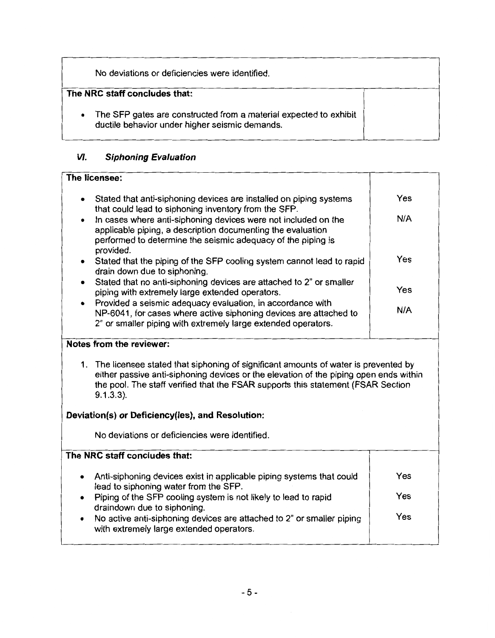|           | No deviations or deficiencies were identified.                                                                      |  |  |  |
|-----------|---------------------------------------------------------------------------------------------------------------------|--|--|--|
|           | The NRC staff concludes that:                                                                                       |  |  |  |
| $\bullet$ | The SFP gates are constructed from a material expected to exhibit<br>ductile behavior under higher seismic demands. |  |  |  |

## **VI. Siphoning Evaluation**

# **The licensee:**  Stated that anti-siphoning devices are installed on piping systems  $\overline{y}$  Yes that could lead to siphoning inventory from the SFP. • In cases where anti-siphoning devices were not included on the **N/A**  applicable piping, a description documenting the evaluation performed to determine the seismic adequacy of the piping is provided. Stated that the piping of the SFP cooling system cannot lead to rapid **Yes** drain down due to siphoning. • Stated that no anti-siphoning devices are attached to 2" or smaller piping with extremely large extended operators. Yes • Provided a seismic adequacy evaluation, in accordance with NP-6041, for cases where active siphoning devices are attached to **N/A**  2" or smaller piping with extremely large extended operators. **Notes from the reviewer:**  1. The licensee stated that siphoning of significant amounts of water is prevented by either passive anti-siphoning devices or the elevation of the piping open ends within the pool. The staff verified that the FSAR supports this statement (FSAR Section 9.1.3.3). **Deviation(s) or Deficiency(ies), and Resolution:**  No deviations or deficiencies were identified. **The NRC staff concludes that:**  • Anti-siphoning devices exist in applicable piping systems that could  $\blacksquare$  Yes lead to siphoning water from the SFP. • Piping of the SFP cooling system is not likely to lead to rapid Yes draindown due to siphoning. No active anti-siphoning devices are attached to 2" or smaller piping | Yes with extremely large extended operators.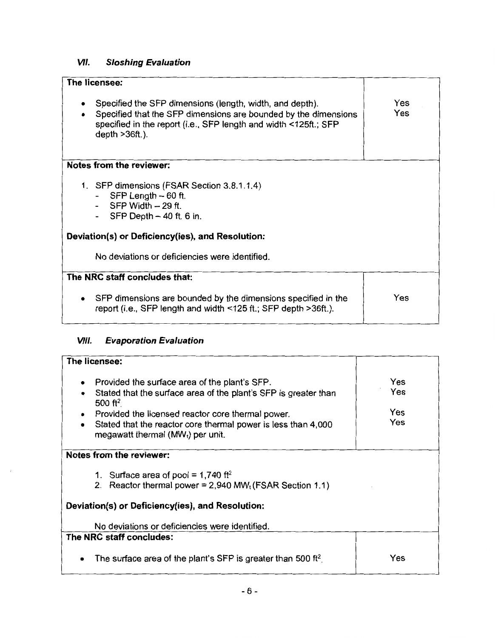# **VII. Sloshing Evaluation**

| The licensee:                                                                                                                                                                                                        |            |
|----------------------------------------------------------------------------------------------------------------------------------------------------------------------------------------------------------------------|------------|
| Specified the SFP dimensions (length, width, and depth).<br>Specified that the SFP dimensions are bounded by the dimensions<br>specified in the report (i.e., SFP length and width <125ft.; SFP<br>depth $>36$ ft.). | Yes<br>Yes |
| Notes from the reviewer:                                                                                                                                                                                             |            |
| 1. SFP dimensions (FSAR Section 3.8.1.1.4)<br>$SFP$ Length $-60$ ft.<br>$SFP$ Width $-29$ ft.<br>$SFP$ Depth $-40$ ft. 6 in.                                                                                         |            |
| Deviation(s) or Deficiency(ies), and Resolution:                                                                                                                                                                     |            |
| No deviations or deficiencies were identified.                                                                                                                                                                       |            |
| The NRC staff concludes that:                                                                                                                                                                                        |            |
| SFP dimensions are bounded by the dimensions specified in the<br>report (i.e., SFP length and width <125 ft.; SFP depth >36ft.).                                                                                     | Yes        |

# **VIII. Evaporation Evaluation**

| The licensee:                                                                                                                                                                                                                                                                                             |                          |
|-----------------------------------------------------------------------------------------------------------------------------------------------------------------------------------------------------------------------------------------------------------------------------------------------------------|--------------------------|
| Provided the surface area of the plant's SFP.<br>Stated that the surface area of the plant's SFP is greater than<br>500 ft <sup>2</sup><br>Provided the licensed reactor core thermal power.<br>٠<br>Stated that the reactor core thermal power is less than 4,000<br>megawatt thermal $(MW_t)$ per unit. | Yes<br>Yes<br>Yes<br>Yes |
| Notes from the reviewer:                                                                                                                                                                                                                                                                                  |                          |
| 1. Surface area of pool = $1,740$ ft <sup>2</sup><br>2. Reactor thermal power = $2,940$ MW <sub>t</sub> (FSAR Section 1.1)                                                                                                                                                                                |                          |
| Deviation(s) or Deficiency(ies), and Resolution:                                                                                                                                                                                                                                                          |                          |
| No deviations or deficiencies were identified.                                                                                                                                                                                                                                                            |                          |
| The NRC staff concludes:                                                                                                                                                                                                                                                                                  |                          |
| The surface area of the plant's SFP is greater than 500 ft <sup>2</sup> .                                                                                                                                                                                                                                 | Yes                      |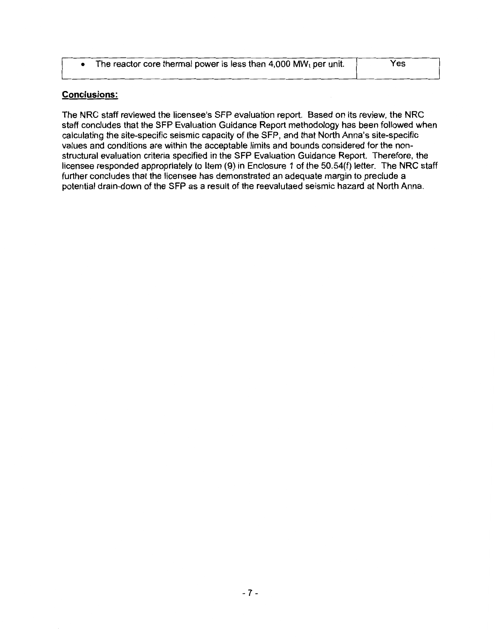| • The reactor core thermal power is less than 4,000 MW <sub>t</sub> per unit. | Yes |
|-------------------------------------------------------------------------------|-----|
|                                                                               |     |

## **Conclusions:**

The NRC staff reviewed the licensee's SFP evaluation report. Based on its review, the NRC staff concludes that the SFP Evaluation Guidance Report methodology has been followed when calculating the site-specific seismic capacity of the SFP, and that North Anna's site-specific values and conditions are within the acceptable limits and bounds considered for the nonstructural evaluation criteria specified in the SFP Evaluation Guidance Report. Therefore, the licensee responded appropriately to Item (9) in Enclosure 1 of the 50.54(f) letter. The NRC staff further concludes that the licensee has demonstrated an adequate margin to preclude a potential drain-down of the SFP as a result of the reevalutaed seismic hazard at North Anna.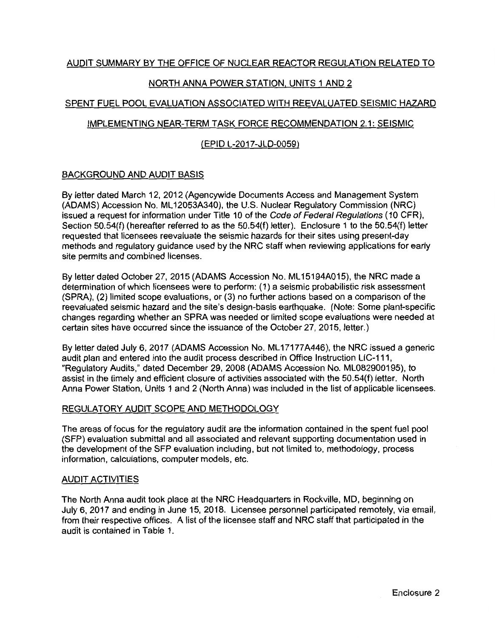## NORTH ANNA POWER STATION, UNITS 1 AND 2

## SPENT FUEL POOL EVALUATION ASSOCIATED WITH REEVALUATED SEISMIC HAZARD

## IMPLEMENTING NEAR-TERM TASK FORCE RECOMMENDATION 2.1: SEISMIC

## (EPID L-2017-JLD-0059)

## BACKGROUND AND AUDIT BASIS

By letter dated March 12, 2012 (Agencywide Documents Access and Management System (ADAMS) Accession No. ML 12053A340), the U.S. Nuclear Regulatory Commission (NRC) issued a request for information under Title 10 of the Code of Federal Regulations (10 CFR), Section 50.54(f) (hereafter referred to as the 50.54(f) letter). Enclosure 1 to the 50.54(f) letter requested that licensees reevaluate the seismic hazards for their sites using present-day methods and regulatory guidance used by the NRC staff when reviewing applications for early site permits and combined licenses.

By letter dated October 27, 2015 (ADAMS Accession No. ML 15194A015), the NRC made a determination of which licensees were to perform: ( 1) a seismic probabilistic risk assessment (SPRA), (2) limited scope evaluations, or (3) no further actions based on a comparison of the reevaluated seismic hazard and the site's design-basis earthquake. {Note: Some plant-specific changes regarding whether an SPRA was needed or limited scope evaluations were needed at certain sites have occurred since the issuance of the October 27, 2015, letter.)

By letter dated July 6, 2017 (ADAMS Accession No. ML17177A446), the NRC issued a generic audit plan and entered into the audit process described in Office Instruction LIC-111, "Regulatory Audits," dated December 29, 2008 (ADAMS Accession No. ML082900195), to assist in the timely and efficient closure of activities associated with the 50.54(f) letter. North Anna Power Station, Units 1 and 2 {North Anna) was included in the list of applicable licensees.

## REGULATORY AUDIT SCOPE AND METHODOLOGY

The areas of focus for the regulatory audit are the information contained in the spent fuel pool (SFP) evaluation submittal and all associated and relevant supporting documentation used in the development of the SFP evaluation including, but not limited to, methodology, process information, calculations, computer models, etc.

### AUDIT ACTIVITIES

The North Anna audit took place at the NRC Headquarters in Rockville, MD, beginning on July 6, 2017 and ending in June 15, 2018. Licensee personnel participated remotely, via email, from their respective offices. A list of the licensee staff and NRC staff that participated in the audit is contained in Table 1.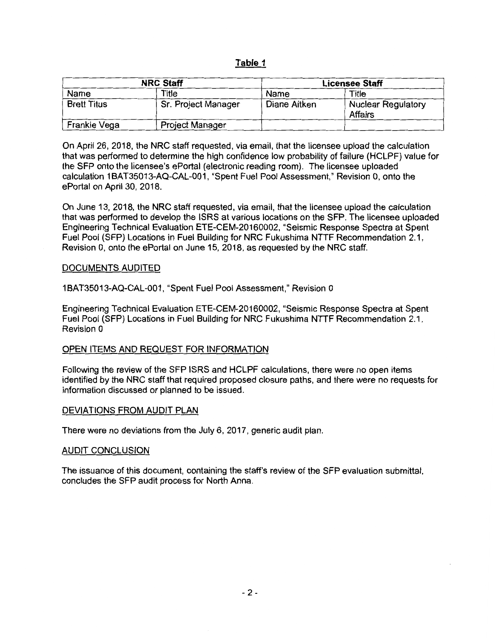### **Table 1**

| <b>NRC Staff</b>   |                        | <b>Licensee Staff</b> |                                      |
|--------------------|------------------------|-----------------------|--------------------------------------|
| Name               | Title                  | Name                  | Title                                |
| <b>Brett Titus</b> | Sr. Project Manager    | Diane Aitken          | <b>Nuclear Regulatory</b><br>Affairs |
| Frankie Vega       | <b>Project Manager</b> |                       |                                      |

On April 26, 2018, the NRC staff requested, via email, that the licensee upload the calculation that was performed to determine the high confidence low probability of failure (HCLPF) value for the SFP onto the licensee's ePortal (electronic reading room). The licensee uploaded calculation 1BAT35013-AQ-CAL-001, "Spent Fuel Pool Assessment," Revision 0, onto the ePortal on April 30, 2018.

On June 13, 2018, the NRC staff requested, via email, that the licensee upload the calculation that was performed to develop the ISRS at various locations on the SFP. The licensee uploaded Engineering Technical Evaluation ETE-CEM-20160002, "Seismic Response Spectra at Spent Fuel Pool (SFP) Locations in Fuel Building for NRC Fukushima NTTF Recommendation 2.1, Revision 0, onto the ePortal on June 15, 2018, as requested by the NRC staff.

#### DOCUMENTS AUDITED

1 BAT35013-AQ-CAL-001, "Spent Fuel Pool Assessment," Revision O

Engineering Technical Evaluation ETE-CEM-20160002, "Seismic Response Spectra at Spent Fuel Pool (SFP) Locations in Fuel Building for NRC Fukushima NTTF Recommendation 2.1, Revision 0

### OPEN ITEMS AND REQUEST FOR INFORMATION

Following the review of the SFP ISRS and HCLPF calculations, there were no open items identified by the NRC staff that required proposed closure paths, and there were no requests for information discussed or planned to be issued.

#### DEVIATIONS FROM AUDIT PLAN

There were no deviations from the July 6, 2017, generic audit plan.

#### AUDIT CONCLUSION

The issuance of this document, containing the staff's review of the SFP evaluation submittal, concludes the SFP audit process for North Anna.